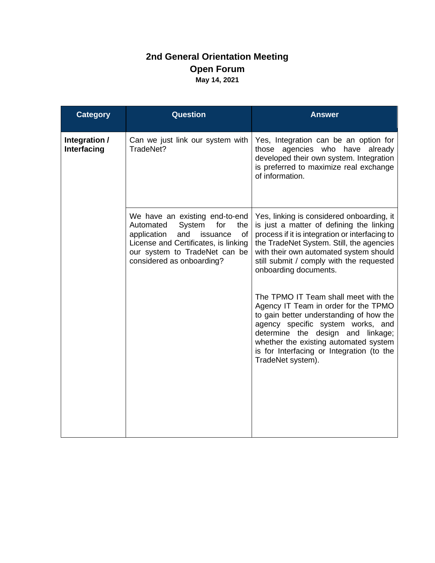## **2nd General Orientation Meeting Open Forum May 14, 2021**

| <b>Question</b>                                                                                                                                                                                                   | <b>Answer</b>                                                                                                                                                                                                                                                                                                |
|-------------------------------------------------------------------------------------------------------------------------------------------------------------------------------------------------------------------|--------------------------------------------------------------------------------------------------------------------------------------------------------------------------------------------------------------------------------------------------------------------------------------------------------------|
| Can we just link our system with<br>TradeNet?                                                                                                                                                                     | Yes, Integration can be an option for<br>those agencies who have already<br>developed their own system. Integration<br>is preferred to maximize real exchange<br>of information.                                                                                                                             |
| We have an existing end-to-end<br>Automated<br>System<br>for<br>the<br>application<br>and<br>issuance<br>of<br>License and Certificates, is linking<br>our system to TradeNet can be<br>considered as onboarding? | Yes, linking is considered onboarding, it<br>is just a matter of defining the linking<br>process if it is integration or interfacing to<br>the TradeNet System. Still, the agencies<br>with their own automated system should<br>still submit / comply with the requested<br>onboarding documents.           |
|                                                                                                                                                                                                                   | The TPMO IT Team shall meet with the<br>Agency IT Team in order for the TPMO<br>to gain better understanding of how the<br>agency specific system works, and<br>determine the design and linkage;<br>whether the existing automated system<br>is for Interfacing or Integration (to the<br>TradeNet system). |
|                                                                                                                                                                                                                   |                                                                                                                                                                                                                                                                                                              |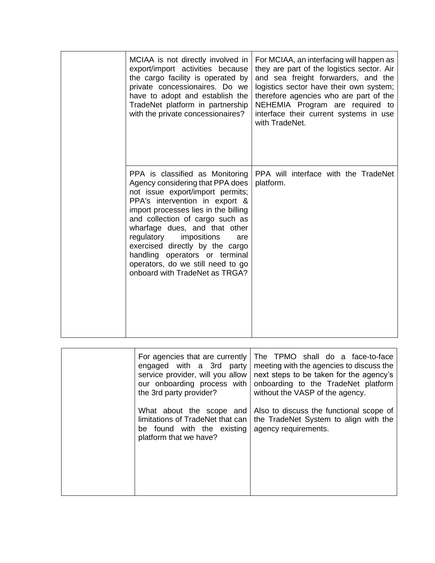| MCIAA is not directly involved in<br>export/import activities because<br>the cargo facility is operated by<br>private concessionaires. Do we<br>have to adopt and establish the<br>TradeNet platform in partnership<br>with the private concessionaires?                                                                                                                                                                              | For MCIAA, an interfacing will happen as<br>they are part of the logistics sector. Air<br>and sea freight forwarders, and the<br>logistics sector have their own system;<br>therefore agencies who are part of the<br>NEHEMIA Program are required to<br>interface their current systems in use<br>with TradeNet. |
|---------------------------------------------------------------------------------------------------------------------------------------------------------------------------------------------------------------------------------------------------------------------------------------------------------------------------------------------------------------------------------------------------------------------------------------|-------------------------------------------------------------------------------------------------------------------------------------------------------------------------------------------------------------------------------------------------------------------------------------------------------------------|
| PPA is classified as Monitoring<br>Agency considering that PPA does<br>not issue export/import permits;<br>PPA's intervention in export &<br>import processes lies in the billing<br>and collection of cargo such as<br>wharfage dues, and that other<br>regulatory<br>impositions<br>are<br>exercised directly by the cargo<br>handling operators or terminal<br>operators, do we still need to go<br>onboard with TradeNet as TRGA? | PPA will interface with the TradeNet<br>platform.                                                                                                                                                                                                                                                                 |

| For agencies that are currently<br>engaged with a 3rd party<br>service provider, will you allow<br>our onboarding process with<br>the 3rd party provider? | The TPMO shall do a face-to-face<br>meeting with the agencies to discuss the<br>next steps to be taken for the agency's<br>onboarding to the TradeNet platform<br>without the VASP of the agency. |
|-----------------------------------------------------------------------------------------------------------------------------------------------------------|---------------------------------------------------------------------------------------------------------------------------------------------------------------------------------------------------|
| What about the scope and<br>limitations of TradeNet that can<br>be found with the existing<br>platform that we have?                                      | Also to discuss the functional scope of<br>the TradeNet System to align with the<br>agency requirements.                                                                                          |
|                                                                                                                                                           |                                                                                                                                                                                                   |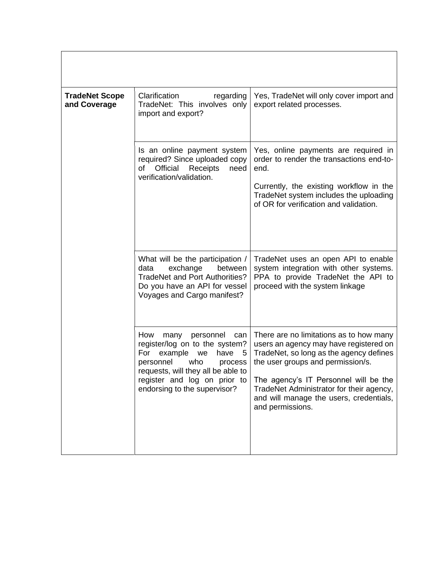| <b>TradeNet Scope</b><br>and Coverage | Clarification<br>regarding<br>TradeNet: This involves only<br>import and export?                                                                                                                                                              | Yes, TradeNet will only cover import and<br>export related processes.                                                                                                                                                                                                                                                 |
|---------------------------------------|-----------------------------------------------------------------------------------------------------------------------------------------------------------------------------------------------------------------------------------------------|-----------------------------------------------------------------------------------------------------------------------------------------------------------------------------------------------------------------------------------------------------------------------------------------------------------------------|
|                                       | Is an online payment system<br>required? Since uploaded copy<br>Official<br>Receipts<br>need<br>of<br>verification/validation.                                                                                                                | Yes, online payments are required in<br>order to render the transactions end-to-<br>end.<br>Currently, the existing workflow in the<br>TradeNet system includes the uploading<br>of OR for verification and validation.                                                                                               |
|                                       | What will be the participation /<br>data<br>exchange<br>between<br><b>TradeNet and Port Authorities?</b><br>Do you have an API for vessel<br>Voyages and Cargo manifest?                                                                      | TradeNet uses an open API to enable<br>system integration with other systems.<br>PPA to provide TradeNet the API to<br>proceed with the system linkage                                                                                                                                                                |
|                                       | How<br>personnel<br>many<br>can<br>register/log on to the system?<br>example<br>have<br>For<br>- 5<br>we<br>who<br>personnel<br>process<br>requests, will they all be able to<br>register and log on prior to<br>endorsing to the supervisor? | There are no limitations as to how many<br>users an agency may have registered on<br>TradeNet, so long as the agency defines<br>the user groups and permission/s.<br>The agency's IT Personnel will be the<br>TradeNet Administrator for their agency,<br>and will manage the users, credentials,<br>and permissions. |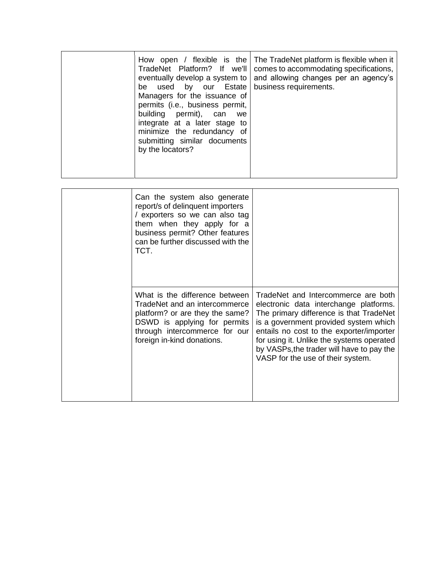|  | How open / flexible is the<br>TradeNet Platform? If we'll<br>eventually develop a system to<br>be used by our Estate<br>Managers for the issuance of<br>permits (i.e., business permit,<br>building permit), can<br>we<br>integrate at a later stage to<br>minimize the redundancy of<br>submitting similar documents<br>by the locators? | The TradeNet platform is flexible when it<br>comes to accommodating specifications,<br>and allowing changes per an agency's<br>business requirements. |
|--|-------------------------------------------------------------------------------------------------------------------------------------------------------------------------------------------------------------------------------------------------------------------------------------------------------------------------------------------|-------------------------------------------------------------------------------------------------------------------------------------------------------|
|--|-------------------------------------------------------------------------------------------------------------------------------------------------------------------------------------------------------------------------------------------------------------------------------------------------------------------------------------------|-------------------------------------------------------------------------------------------------------------------------------------------------------|

| Can the system also generate<br>report/s of delinquent importers<br>/ exporters so we can also tag<br>them when they apply for a<br>business permit? Other features<br>can be further discussed with the<br>TCT. |                                                                                                                                                                                                                                                                                                                                              |
|------------------------------------------------------------------------------------------------------------------------------------------------------------------------------------------------------------------|----------------------------------------------------------------------------------------------------------------------------------------------------------------------------------------------------------------------------------------------------------------------------------------------------------------------------------------------|
| What is the difference between<br>TradeNet and an intercommerce<br>platform? or are they the same?<br>DSWD is applying for permits<br>through intercommerce for our<br>foreign in-kind donations.                | TradeNet and Intercommerce are both<br>electronic data interchange platforms.<br>The primary difference is that TradeNet<br>is a government provided system which<br>entails no cost to the exporter/importer<br>for using it. Unlike the systems operated<br>by VASPs, the trader will have to pay the<br>VASP for the use of their system. |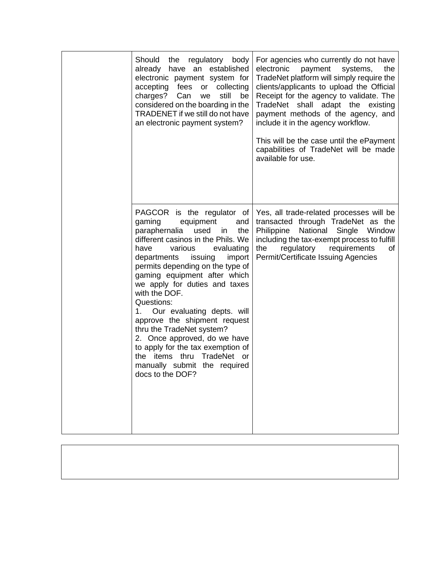| Should<br>regulatory<br>the<br>body<br>already<br>have an established<br>electronic payment system for<br>accepting fees<br>collecting<br>or<br>charges?<br>Can<br>still<br>be<br>we<br>considered on the boarding in the<br>TRADENET if we still do not have<br>an electronic payment system?                                                                                                                                                                                                                                                                                                        | For agencies who currently do not have<br>the<br>electronic<br>payment<br>systems,<br>TradeNet platform will simply require the<br>clients/applicants to upload the Official<br>Receipt for the agency to validate. The<br>TradeNet shall adapt the existing<br>payment methods of the agency, and<br>include it in the agency workflow.<br>This will be the case until the ePayment<br>capabilities of TradeNet will be made<br>available for use. |
|-------------------------------------------------------------------------------------------------------------------------------------------------------------------------------------------------------------------------------------------------------------------------------------------------------------------------------------------------------------------------------------------------------------------------------------------------------------------------------------------------------------------------------------------------------------------------------------------------------|-----------------------------------------------------------------------------------------------------------------------------------------------------------------------------------------------------------------------------------------------------------------------------------------------------------------------------------------------------------------------------------------------------------------------------------------------------|
| PAGCOR is the regulator of<br>equipment<br>gaming<br>and<br>paraphernalia<br>the<br>used<br>in<br>different casinos in the Phils. We<br>evaluating<br>have<br>various<br>departments<br>issuing<br>import<br>permits depending on the type of<br>gaming equipment after which<br>we apply for duties and taxes<br>with the DOF.<br>Questions:<br>1. Our evaluating depts. will<br>approve the shipment request<br>thru the TradeNet system?<br>2. Once approved, do we have<br>to apply for the tax exemption of<br>TradeNet or<br>the items thru<br>manually submit the required<br>docs to the DOF? | Yes, all trade-related processes will be<br>transacted through TradeNet as the<br>National<br>Philippine<br>Single Window<br>including the tax-exempt process to fulfill<br>regulatory<br>requirements<br>the<br>οf<br>Permit/Certificate Issuing Agencies                                                                                                                                                                                          |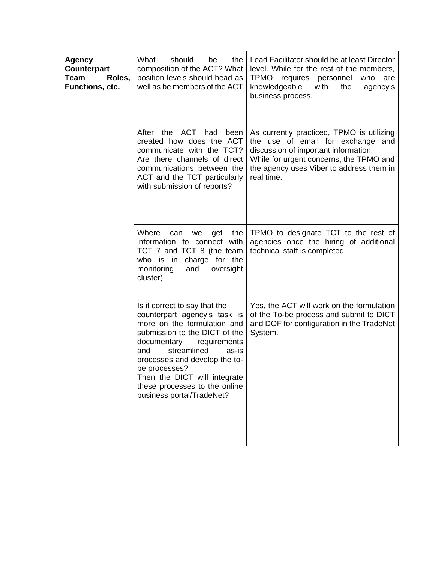| <b>Agency</b><br>Counterpart<br>Team<br>Roles,<br>Functions, etc. | What<br>should<br>be<br>the<br>composition of the ACT? What<br>position levels should head as<br>well as be members of the ACT                                                                                                                                                                                                              | Lead Facilitator should be at least Director<br>level. While for the rest of the members,<br><b>TPMO</b><br>requires personnel<br>who<br>are<br>knowledgeable<br>with<br>the<br>agency's<br>business process.               |
|-------------------------------------------------------------------|---------------------------------------------------------------------------------------------------------------------------------------------------------------------------------------------------------------------------------------------------------------------------------------------------------------------------------------------|-----------------------------------------------------------------------------------------------------------------------------------------------------------------------------------------------------------------------------|
|                                                                   | After the ACT<br>had<br>been<br>created how does the ACT<br>communicate with the TCT?<br>Are there channels of direct<br>communications between the<br>ACT and the TCT particularly<br>with submission of reports?                                                                                                                          | As currently practiced, TPMO is utilizing<br>the use of email for exchange and<br>discussion of important information.<br>While for urgent concerns, the TPMO and<br>the agency uses Viber to address them in<br>real time. |
|                                                                   | Where<br>the<br>can<br>we<br>get<br>information to connect with<br>TCT 7 and TCT 8 (the team<br>who is in charge for the<br>monitoring<br>and<br>oversight<br>cluster)                                                                                                                                                                      | TPMO to designate TCT to the rest of<br>agencies once the hiring of additional<br>technical staff is completed.                                                                                                             |
|                                                                   | Is it correct to say that the<br>counterpart agency's task is<br>more on the formulation and<br>submission to the DICT of the<br>documentary<br>requirements<br>streamlined<br>as-is<br>and<br>processes and develop the to-<br>be processes?<br>Then the DICT will integrate<br>these processes to the online<br>business portal/TradeNet? | Yes, the ACT will work on the formulation<br>of the To-be process and submit to DICT<br>and DOF for configuration in the TradeNet<br>System.                                                                                |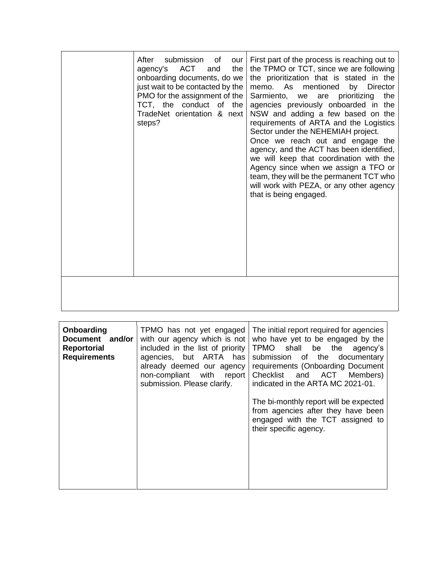| After<br>submission of<br>our<br>agency's ACT<br>the<br>and<br>onboarding documents, do we<br>just wait to be contacted by the<br>PMO for the assignment of the<br>TCT, the conduct of the<br>TradeNet orientation & next<br>steps? | First part of the process is reaching out to<br>the TPMO or TCT, since we are following<br>the prioritization that is stated in the<br>memo. As mentioned<br>by Director<br>the<br>Sarmiento, we are prioritizing<br>agencies previously onboarded in the<br>NSW and adding a few based on the<br>requirements of ARTA and the Logistics<br>Sector under the NEHEMIAH project.<br>Once we reach out and engage the<br>agency, and the ACT has been identified,<br>we will keep that coordination with the<br>Agency since when we assign a TFO or<br>team, they will be the permanent TCT who<br>will work with PEZA, or any other agency<br>that is being engaged. |
|-------------------------------------------------------------------------------------------------------------------------------------------------------------------------------------------------------------------------------------|---------------------------------------------------------------------------------------------------------------------------------------------------------------------------------------------------------------------------------------------------------------------------------------------------------------------------------------------------------------------------------------------------------------------------------------------------------------------------------------------------------------------------------------------------------------------------------------------------------------------------------------------------------------------|
|                                                                                                                                                                                                                                     |                                                                                                                                                                                                                                                                                                                                                                                                                                                                                                                                                                                                                                                                     |

| Onboarding<br>Document and/or<br><b>Reportorial</b><br><b>Requirements</b> | TPMO has not yet engaged<br>with our agency which is not<br>included in the list of priority<br>agencies, but ARTA has<br>already deemed our agency<br>non-compliant with report<br>submission. Please clarify. | The initial report required for agencies<br>who have yet to be engaged by the<br>TPMO shall be the agency's<br>submission of the documentary<br>requirements (Onboarding Document<br>Checklist and ACT Members)<br>indicated in the ARTA MC 2021-01.<br>The bi-monthly report will be expected<br>from agencies after they have been<br>engaged with the TCT assigned to<br>their specific agency. |
|----------------------------------------------------------------------------|-----------------------------------------------------------------------------------------------------------------------------------------------------------------------------------------------------------------|----------------------------------------------------------------------------------------------------------------------------------------------------------------------------------------------------------------------------------------------------------------------------------------------------------------------------------------------------------------------------------------------------|
|                                                                            |                                                                                                                                                                                                                 |                                                                                                                                                                                                                                                                                                                                                                                                    |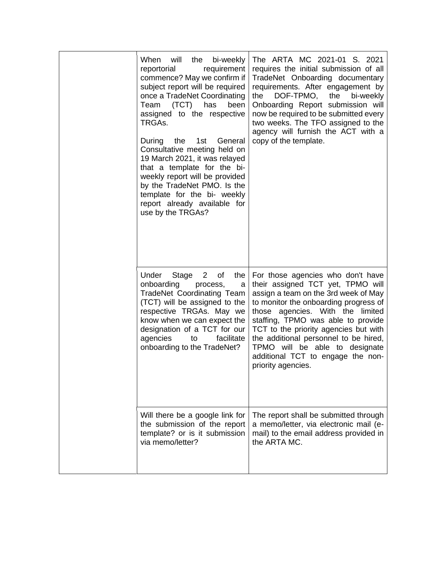| When will<br>the<br>bi-weekly<br>requirement<br>reportorial<br>commence? May we confirm if<br>subject report will be required<br>once a TradeNet Coordinating<br>(TCT)<br>Team<br>has<br>been<br>assigned to the respective<br>TRGAs.<br>the 1st<br>General<br>During<br>Consultative meeting held on<br>19 March 2021, it was relayed<br>that a template for the bi-<br>weekly report will be provided<br>by the TradeNet PMO. Is the<br>template for the bi- weekly<br>report already available for<br>use by the TRGAs? | The ARTA MC 2021-01 S. 2021<br>requires the initial submission of all<br>TradeNet Onboarding documentary<br>requirements. After engagement by<br>the<br>DOF-TPMO,<br>the<br>bi-weekly<br>Onboarding Report submission will<br>now be required to be submitted every<br>two weeks. The TFO assigned to the<br>agency will furnish the ACT with a<br>copy of the template.                                         |
|----------------------------------------------------------------------------------------------------------------------------------------------------------------------------------------------------------------------------------------------------------------------------------------------------------------------------------------------------------------------------------------------------------------------------------------------------------------------------------------------------------------------------|------------------------------------------------------------------------------------------------------------------------------------------------------------------------------------------------------------------------------------------------------------------------------------------------------------------------------------------------------------------------------------------------------------------|
| Under<br>Stage<br>the<br>2 <sup>2</sup><br>of<br>onboarding<br>process,<br>a<br><b>TradeNet Coordinating Team</b><br>(TCT) will be assigned to the<br>respective TRGAs. May we<br>know when we can expect the<br>designation of a TCT for our<br>agencies<br>facilitate<br>to<br>onboarding to the TradeNet?                                                                                                                                                                                                               | For those agencies who don't have<br>their assigned TCT yet, TPMO will<br>assign a team on the 3rd week of May<br>to monitor the onboarding progress of<br>those agencies. With the limited<br>staffing, TPMO was able to provide<br>TCT to the priority agencies but with<br>the additional personnel to be hired,<br>TPMO will be able to designate<br>additional TCT to engage the non-<br>priority agencies. |
| Will there be a google link for<br>the submission of the report<br>template? or is it submission<br>via memo/letter?                                                                                                                                                                                                                                                                                                                                                                                                       | The report shall be submitted through<br>a memo/letter, via electronic mail (e-<br>mail) to the email address provided in<br>the ARTA MC.                                                                                                                                                                                                                                                                        |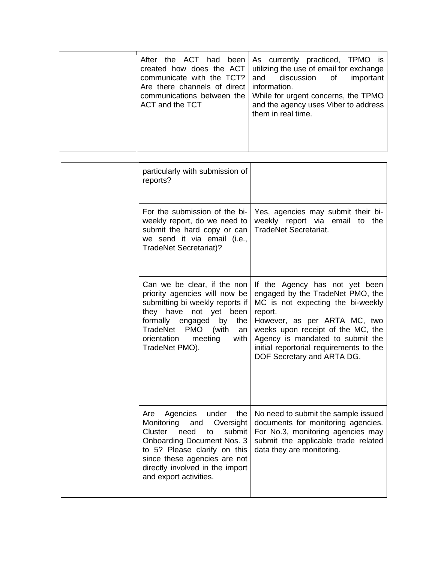|  | communicate with the TCT? and discussion of<br>Are there channels of direct   information.<br>ACT and the TCT | After the ACT had been As currently practiced, TPMO is<br>created how does the $ACT$ utilizing the use of email for exchange<br>important<br>communications between the   While for urgent concerns, the TPMO<br>and the agency uses Viber to address<br>them in real time. |
|--|---------------------------------------------------------------------------------------------------------------|-----------------------------------------------------------------------------------------------------------------------------------------------------------------------------------------------------------------------------------------------------------------------------|
|--|---------------------------------------------------------------------------------------------------------------|-----------------------------------------------------------------------------------------------------------------------------------------------------------------------------------------------------------------------------------------------------------------------------|

|  | particularly with submission of<br>reports?                                                                                                                                                                                                                            |                                                                                                                                                                                                                                                                                                      |
|--|------------------------------------------------------------------------------------------------------------------------------------------------------------------------------------------------------------------------------------------------------------------------|------------------------------------------------------------------------------------------------------------------------------------------------------------------------------------------------------------------------------------------------------------------------------------------------------|
|  | For the submission of the bi-<br>weekly report, do we need to<br>submit the hard copy or can<br>we send it via email (i.e.,<br><b>TradeNet Secretariat)?</b>                                                                                                           | Yes, agencies may submit their bi-<br>weekly report via email to the<br><b>TradeNet Secretariat.</b>                                                                                                                                                                                                 |
|  | Can we be clear, if the non<br>priority agencies will now be<br>submitting bi weekly reports if<br>they have not yet been<br>formally engaged<br>by<br>the<br>TradeNet<br><b>PMO</b><br>(with<br>an<br>orientation<br>meeting<br>with<br>TradeNet PMO).                | If the Agency has not yet been<br>engaged by the TradeNet PMO, the<br>MC is not expecting the bi-weekly<br>report.<br>However, as per ARTA MC, two<br>weeks upon receipt of the MC, the<br>Agency is mandated to submit the<br>initial reportorial requirements to the<br>DOF Secretary and ARTA DG. |
|  | Agencies<br>the<br>Are<br>under<br>Monitoring<br>and<br>Oversight<br>submit<br>Cluster<br>need<br>to<br><b>Onboarding Document Nos. 3</b><br>to 5? Please clarify on this<br>since these agencies are not<br>directly involved in the import<br>and export activities. | No need to submit the sample issued<br>documents for monitoring agencies.<br>For No.3, monitoring agencies may<br>submit the applicable trade related<br>data they are monitoring.                                                                                                                   |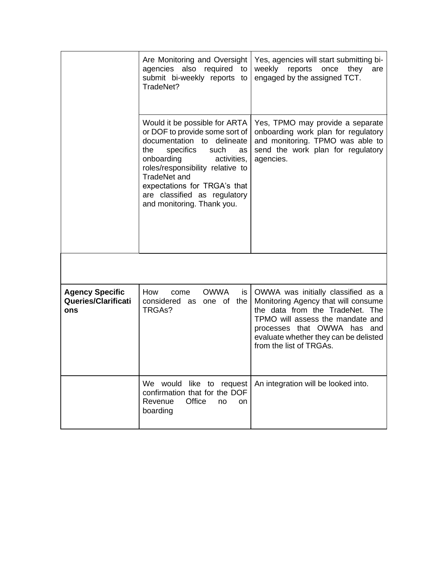|                                                      | Are Monitoring and Oversight<br>also required<br>agencies<br>to<br>submit bi-weekly reports to<br>TradeNet?                                                                                                                                                                                                           | Yes, agencies will start submitting bi-<br>weekly<br>reports<br>once<br>they<br>are<br>engaged by the assigned TCT.                                                                                                                                 |
|------------------------------------------------------|-----------------------------------------------------------------------------------------------------------------------------------------------------------------------------------------------------------------------------------------------------------------------------------------------------------------------|-----------------------------------------------------------------------------------------------------------------------------------------------------------------------------------------------------------------------------------------------------|
|                                                      | Would it be possible for ARTA<br>or DOF to provide some sort of<br>documentation to delineate<br>specifics<br>such<br>the<br>as<br>onboarding<br>activities,<br>roles/responsibility relative to<br><b>TradeNet and</b><br>expectations for TRGA's that<br>are classified as regulatory<br>and monitoring. Thank you. | Yes, TPMO may provide a separate<br>onboarding work plan for regulatory<br>and monitoring. TPMO was able to<br>send the work plan for regulatory<br>agencies.                                                                                       |
|                                                      |                                                                                                                                                                                                                                                                                                                       |                                                                                                                                                                                                                                                     |
| <b>Agency Specific</b><br>Queries/Clarificati<br>ons | <b>OWWA</b><br>How<br>is<br>come<br>considered as<br>one of<br>the<br>TRGAs?                                                                                                                                                                                                                                          | OWWA was initially classified as a<br>Monitoring Agency that will consume<br>the data from the TradeNet. The<br>TPMO will assess the mandate and<br>processes that OWWA has and<br>evaluate whether they can be delisted<br>from the list of TRGAs. |
|                                                      | We would<br>like to request<br>confirmation that for the DOF<br>Office<br>Revenue<br>no<br>on<br>boarding                                                                                                                                                                                                             | An integration will be looked into.                                                                                                                                                                                                                 |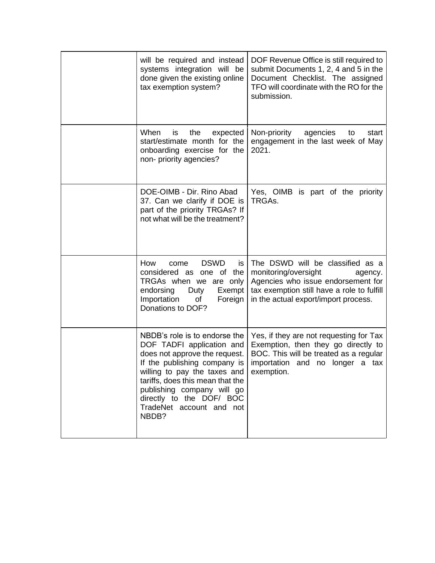| will be required and instead<br>systems integration will be<br>done given the existing online<br>tax exemption system?                                                                                                                                                                         | DOF Revenue Office is still required to<br>submit Documents 1, 2, 4 and 5 in the<br>Document Checklist. The assigned<br>TFO will coordinate with the RO for the<br>submission.                  |
|------------------------------------------------------------------------------------------------------------------------------------------------------------------------------------------------------------------------------------------------------------------------------------------------|-------------------------------------------------------------------------------------------------------------------------------------------------------------------------------------------------|
| When<br>the<br><b>is</b><br>expected<br>start/estimate month for the<br>onboarding exercise for the<br>non- priority agencies?                                                                                                                                                                 | Non-priority<br>agencies<br>to<br>start<br>engagement in the last week of May<br>2021.                                                                                                          |
| DOE-OIMB - Dir. Rino Abad<br>37. Can we clarify if DOE is<br>part of the priority TRGAs? If<br>not what will be the treatment?                                                                                                                                                                 | Yes, OIMB is part of the priority<br>TRGAs.                                                                                                                                                     |
| <b>DSWD</b><br>How<br>come<br>is<br>considered as one of the<br>TRGAs when we are only<br>endorsing<br>Duty<br>Exempt<br>Importation<br>Foreign<br>of<br>Donations to DOF?                                                                                                                     | The DSWD will be classified as a<br>monitoring/oversight<br>agency.<br>Agencies who issue endorsement for<br>tax exemption still have a role to fulfill<br>in the actual export/import process. |
| NBDB's role is to endorse the<br>DOF TADFI application and<br>does not approve the request.<br>If the publishing company is<br>willing to pay the taxes and<br>tariffs, does this mean that the<br>publishing company will go<br>directly to the DOF/ BOC<br>TradeNet account and not<br>NBDB? | Yes, if they are not requesting for Tax<br>Exemption, then they go directly to<br>BOC. This will be treated as a regular<br>importation and no longer a tax<br>exemption.                       |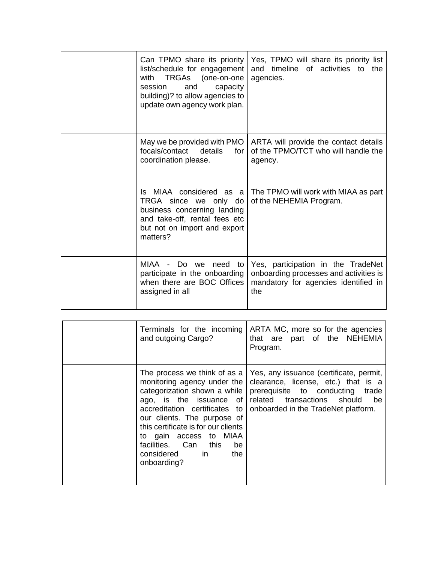| Can TPMO share its priority<br>list/schedule for engagement<br>TRGAs (one-on-one<br>with<br>capacity<br>and<br>session<br>building)? to allow agencies to<br>update own agency work plan. | Yes, TPMO will share its priority list<br>and timeline of activities to the<br>agencies.                                    |
|-------------------------------------------------------------------------------------------------------------------------------------------------------------------------------------------|-----------------------------------------------------------------------------------------------------------------------------|
| May we be provided with PMO<br>focals/contact<br>details<br>for<br>coordination please.                                                                                                   | ARTA will provide the contact details<br>of the TPMO/TCT who will handle the<br>agency.                                     |
| Is MIAA considered as a<br>TRGA since we only do<br>business concerning landing<br>and take-off, rental fees etc<br>but not on import and export<br>matters?                              | The TPMO will work with MIAA as part<br>of the NEHEMIA Program.                                                             |
| MIAA -<br>Do<br>need<br>we<br>to<br>participate in the onboarding<br>when there are BOC Offices<br>assigned in all                                                                        | Yes, participation in the TradeNet<br>onboarding processes and activities is<br>mandatory for agencies identified in<br>the |

| Terminals for the incoming<br>and outgoing Cargo?                                                                                                                                                                                                                 | ARTA MC, more so for the agencies<br>that are part of the NEHEMIA<br>Program.                                                                                                                                                                         |
|-------------------------------------------------------------------------------------------------------------------------------------------------------------------------------------------------------------------------------------------------------------------|-------------------------------------------------------------------------------------------------------------------------------------------------------------------------------------------------------------------------------------------------------|
| monitoring agency under the<br>categorization shown a while<br>accreditation certificates to<br>our clients. The purpose of<br>this certificate is for our clients<br>to gain access to MIAA<br>facilities. Can this<br>be<br>considered in<br>the<br>onboarding? | The process we think of as a   Yes, any issuance (certificate, permit,<br>clearance, license, etc.) that is a<br>prerequisite to conducting trade<br>ago, is the issuance of related transactions should<br>be<br>onboarded in the TradeNet platform. |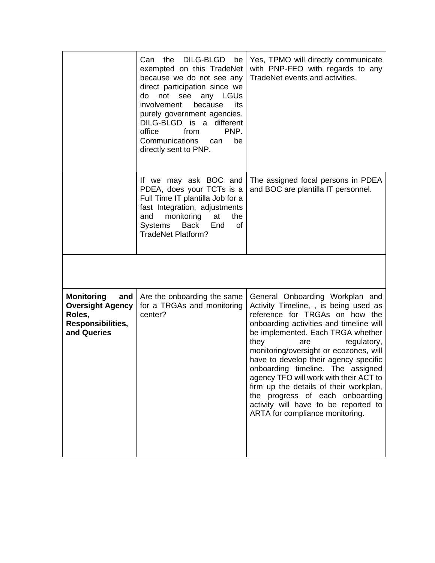|                                                                                                   | the<br>DILG-BLGD<br>Can<br>be<br>exempted on this TradeNet<br>because we do not see any<br>direct participation since we<br>do<br>not<br><b>LGUs</b><br>see<br>any<br>involvement<br>because<br>its<br>purely government agencies.<br>DILG-BLGD is a different<br>office<br>PNP.<br>from<br>Communications<br>be<br>can<br>directly sent to PNP. | Yes, TPMO will directly communicate<br>with PNP-FEO with regards to any<br>TradeNet events and activities.                                                                                                                                                                                                                                                                                                                                                                                                                                         |
|---------------------------------------------------------------------------------------------------|--------------------------------------------------------------------------------------------------------------------------------------------------------------------------------------------------------------------------------------------------------------------------------------------------------------------------------------------------|----------------------------------------------------------------------------------------------------------------------------------------------------------------------------------------------------------------------------------------------------------------------------------------------------------------------------------------------------------------------------------------------------------------------------------------------------------------------------------------------------------------------------------------------------|
|                                                                                                   | If we may ask BOC and<br>PDEA, does your TCTs is a<br>Full Time IT plantilla Job for a<br>fast Integration, adjustments<br>monitoring<br>and<br>at<br>the<br>Back<br>Systems<br>End<br>of<br><b>TradeNet Platform?</b>                                                                                                                           | The assigned focal persons in PDEA<br>and BOC are plantilla IT personnel.                                                                                                                                                                                                                                                                                                                                                                                                                                                                          |
|                                                                                                   |                                                                                                                                                                                                                                                                                                                                                  |                                                                                                                                                                                                                                                                                                                                                                                                                                                                                                                                                    |
| <b>Monitoring</b><br>and<br><b>Oversight Agency</b><br>Roles,<br>Responsibilities,<br>and Queries | Are the onboarding the same<br>for a TRGAs and monitoring<br>center?                                                                                                                                                                                                                                                                             | General Onboarding Workplan and<br>Activity Timeline, , is being used as<br>reference for TRGAs on how the<br>onboarding activities and timeline will<br>be implemented. Each TRGA whether<br>they<br>regulatory,<br>are<br>monitoring/oversight or ecozones, will<br>have to develop their agency specific<br>onboarding timeline. The assigned<br>agency TFO will work with their ACT to<br>firm up the details of their workplan,<br>the progress of each onboarding<br>activity will have to be reported to<br>ARTA for compliance monitoring. |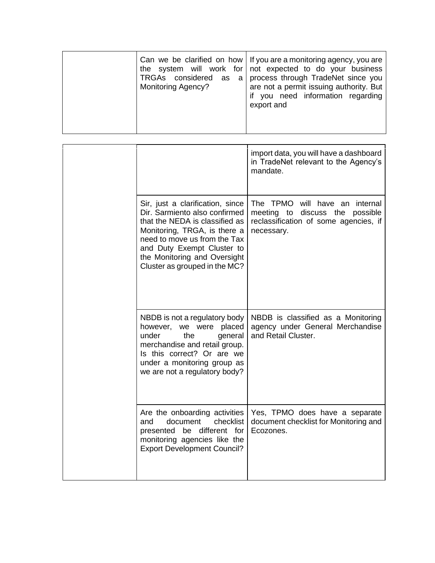| <b>Monitoring Agency?</b> | Can we be clarified on how   If you are a monitoring agency, you are<br>the system will work for not expected to do your business<br>TRGAs considered as a process through TradeNet since you<br>are not a permit issuing authority. But<br>if you need information regarding<br>export and |
|---------------------------|---------------------------------------------------------------------------------------------------------------------------------------------------------------------------------------------------------------------------------------------------------------------------------------------|
|---------------------------|---------------------------------------------------------------------------------------------------------------------------------------------------------------------------------------------------------------------------------------------------------------------------------------------|

|                                                                                                                                                                                                                                                                    | import data, you will have a dashboard<br>in TradeNet relevant to the Agency's<br>mandate.                                     |
|--------------------------------------------------------------------------------------------------------------------------------------------------------------------------------------------------------------------------------------------------------------------|--------------------------------------------------------------------------------------------------------------------------------|
| Sir, just a clarification, since<br>Dir. Sarmiento also confirmed<br>that the NEDA is classified as<br>Monitoring, TRGA, is there a<br>need to move us from the Tax<br>and Duty Exempt Cluster to<br>the Monitoring and Oversight<br>Cluster as grouped in the MC? | The TPMO will have an internal<br>discuss the<br>meeting to<br>possible<br>reclassification of some agencies, if<br>necessary. |
| NBDB is not a regulatory body<br>however, we were placed<br>under<br>the<br>general<br>merchandise and retail group.<br>Is this correct? Or are we<br>under a monitoring group as<br>we are not a regulatory body?                                                 | NBDB is classified as a Monitoring<br>agency under General Merchandise<br>and Retail Cluster.                                  |
| Are the onboarding activities<br>document<br>checklist<br>and<br>presented be different for<br>monitoring agencies like the<br><b>Export Development Council?</b>                                                                                                  | Yes, TPMO does have a separate<br>document checklist for Monitoring and<br>Ecozones.                                           |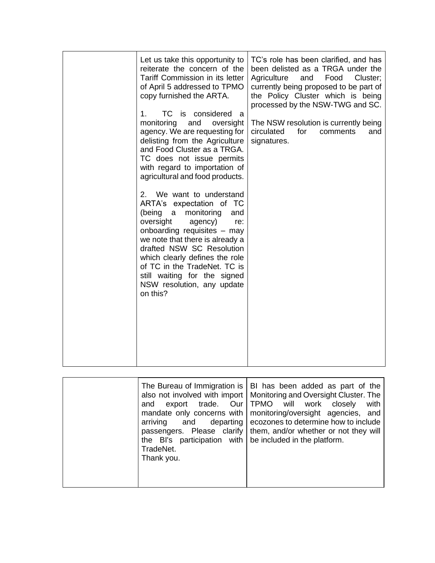|  | Let us take this opportunity to<br>reiterate the concern of the<br>Tariff Commission in its letter<br>of April 5 addressed to TPMO<br>copy furnished the ARTA.<br>TC is considered a<br>1.<br>monitoring<br>and<br>oversight<br>agency. We are requesting for<br>delisting from the Agriculture<br>and Food Cluster as a TRGA.<br>TC does not issue permits<br>with regard to importation of<br>agricultural and food products.<br>We want to understand<br>2.<br>ARTA's expectation of TC<br>(being<br>monitoring<br>$\alpha$<br>and<br>oversight<br>agency)<br>re:<br>onboarding requisites - may<br>we note that there is already a<br>drafted NSW SC Resolution<br>which clearly defines the role<br>of TC in the TradeNet. TC is<br>still waiting for the signed<br>NSW resolution, any update<br>on this? | TC's role has been clarified, and has<br>been delisted as a TRGA under the<br>Agriculture<br>and<br>Food<br>Cluster:<br>currently being proposed to be part of<br>the Policy Cluster which is being<br>processed by the NSW-TWG and SC.<br>The NSW resolution is currently being<br>circulated<br>for<br>comments<br>and<br>signatures. |
|--|-----------------------------------------------------------------------------------------------------------------------------------------------------------------------------------------------------------------------------------------------------------------------------------------------------------------------------------------------------------------------------------------------------------------------------------------------------------------------------------------------------------------------------------------------------------------------------------------------------------------------------------------------------------------------------------------------------------------------------------------------------------------------------------------------------------------|-----------------------------------------------------------------------------------------------------------------------------------------------------------------------------------------------------------------------------------------------------------------------------------------------------------------------------------------|
|--|-----------------------------------------------------------------------------------------------------------------------------------------------------------------------------------------------------------------------------------------------------------------------------------------------------------------------------------------------------------------------------------------------------------------------------------------------------------------------------------------------------------------------------------------------------------------------------------------------------------------------------------------------------------------------------------------------------------------------------------------------------------------------------------------------------------------|-----------------------------------------------------------------------------------------------------------------------------------------------------------------------------------------------------------------------------------------------------------------------------------------------------------------------------------------|

|  | and<br>arriving<br>the $B's$ participation with $\vert$ be included in the platform.<br>TradeNet.<br>Thank you. | The Bureau of Immigration is   BI has been added as part of the<br>also not involved with import   Monitoring and Oversight Cluster. The<br>export trade. Our   TPMO will work closely<br>with<br>mandate only concerns with   monitoring/oversight agencies, and<br>and departing ecozones to determine how to include<br>passengers. Please clarify   them, and/or whether or not they will |
|--|-----------------------------------------------------------------------------------------------------------------|-----------------------------------------------------------------------------------------------------------------------------------------------------------------------------------------------------------------------------------------------------------------------------------------------------------------------------------------------------------------------------------------------|
|--|-----------------------------------------------------------------------------------------------------------------|-----------------------------------------------------------------------------------------------------------------------------------------------------------------------------------------------------------------------------------------------------------------------------------------------------------------------------------------------------------------------------------------------|